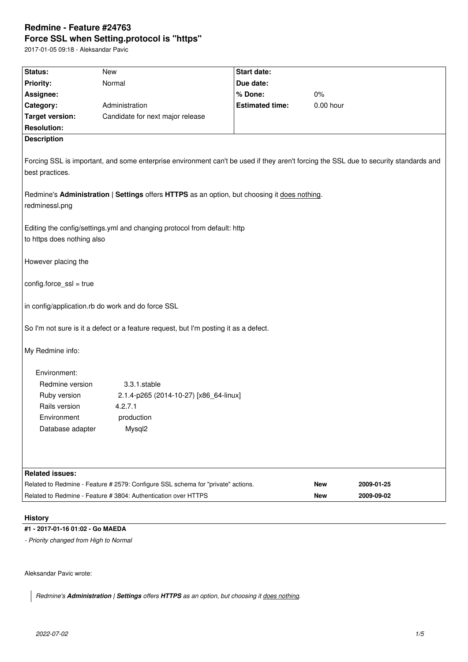# **Redmine - Feature #24763 Force SSL when Setting.protocol is "https"**

2017-01-05 09:18 - Aleksandar Pavic

| Status:                                                                                                        | <b>New</b>                                                                                                                           | <b>Start date:</b>     |            |            |  |  |
|----------------------------------------------------------------------------------------------------------------|--------------------------------------------------------------------------------------------------------------------------------------|------------------------|------------|------------|--|--|
| <b>Priority:</b>                                                                                               | Normal                                                                                                                               | Due date:              |            |            |  |  |
| Assignee:                                                                                                      |                                                                                                                                      | % Done:                | 0%         |            |  |  |
| Category:                                                                                                      | Administration                                                                                                                       | <b>Estimated time:</b> | 0.00 hour  |            |  |  |
| <b>Target version:</b>                                                                                         | Candidate for next major release                                                                                                     |                        |            |            |  |  |
| <b>Resolution:</b>                                                                                             |                                                                                                                                      |                        |            |            |  |  |
| <b>Description</b>                                                                                             |                                                                                                                                      |                        |            |            |  |  |
| best practices.                                                                                                | Forcing SSL is important, and some enterprise environment can't be used if they aren't forcing the SSL due to security standards and |                        |            |            |  |  |
| Redmine's Administration   Settings offers HTTPS as an option, but choosing it does nothing.<br>redminessl.png |                                                                                                                                      |                        |            |            |  |  |
| Editing the config/settings.yml and changing protocol from default: http<br>to https does nothing also         |                                                                                                                                      |                        |            |            |  |  |
| However placing the                                                                                            |                                                                                                                                      |                        |            |            |  |  |
| $config-force\_ssl = true$                                                                                     |                                                                                                                                      |                        |            |            |  |  |
| in config/application.rb do work and do force SSL                                                              |                                                                                                                                      |                        |            |            |  |  |
| So I'm not sure is it a defect or a feature request, but I'm posting it as a defect.                           |                                                                                                                                      |                        |            |            |  |  |
| My Redmine info:                                                                                               |                                                                                                                                      |                        |            |            |  |  |
| Environment:                                                                                                   |                                                                                                                                      |                        |            |            |  |  |
| Redmine version                                                                                                | 3.3.1.stable                                                                                                                         |                        |            |            |  |  |
| Ruby version                                                                                                   | 2.1.4-p265 (2014-10-27) [x86_64-linux]                                                                                               |                        |            |            |  |  |
| Rails version                                                                                                  | 4.2.7.1                                                                                                                              |                        |            |            |  |  |
| Environment                                                                                                    | production                                                                                                                           |                        |            |            |  |  |
| Database adapter                                                                                               | Mysql2                                                                                                                               |                        |            |            |  |  |
|                                                                                                                |                                                                                                                                      |                        |            |            |  |  |
|                                                                                                                |                                                                                                                                      |                        |            |            |  |  |
| <b>Related issues:</b>                                                                                         |                                                                                                                                      |                        |            |            |  |  |
|                                                                                                                | Related to Redmine - Feature # 2579: Configure SSL schema for "private" actions.                                                     |                        | <b>New</b> | 2009-01-25 |  |  |
|                                                                                                                | Related to Redmine - Feature # 3804: Authentication over HTTPS                                                                       |                        | <b>New</b> | 2009-09-02 |  |  |

# **History**

# **#1 - 2017-01-16 01:02 - Go MAEDA**

*- Priority changed from High to Normal*

Aleksandar Pavic wrote:

*Redmine's Administration | Settings offers HTTPS as an option, but choosing it does nothing.*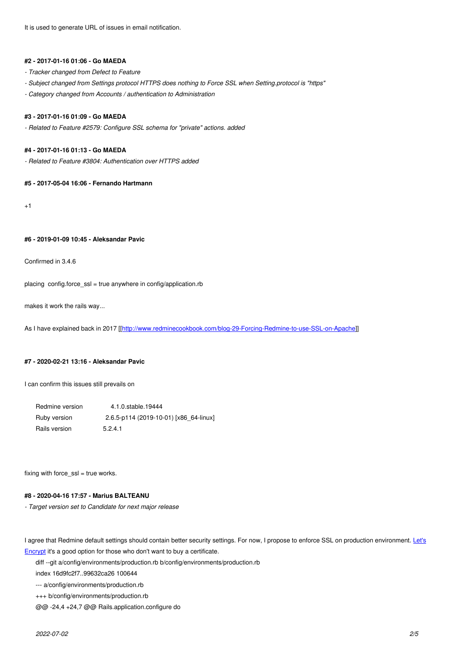### **#2 - 2017-01-16 01:06 - Go MAEDA**

- *Tracker changed from Defect to Feature*
- *Subject changed from Settings protocol HTTPS does nothing to Force SSL when Setting.protocol is "https"*
- *Category changed from Accounts / authentication to Administration*

# **#3 - 2017-01-16 01:09 - Go MAEDA**

*- Related to Feature #2579: Configure SSL schema for "private" actions. added*

#### **#4 - 2017-01-16 01:13 - Go MAEDA**

*- Related to Feature #3804: Authentication over HTTPS added*

# **#5 - 2017-05-04 16:06 - Fernando Hartmann**

 $+1$ 

# **#6 - 2019-01-09 10:45 - Aleksandar Pavic**

Confirmed in 3.4.6

placing config.force\_ssl = true anywhere in config/application.rb

makes it work the rails way...

As I have explained back in 2017 [[http://www.redminecookbook.com/blog-29-Forcing-Redmine-to-use-SSL-on-Apache]]

### **#7 - 2020-02-21 13:16 - Aleksand[ar Pavic](http://www.redminecookbook.com/blog-29-Forcing-Redmine-to-use-SSL-on-Apache)**

I can confirm this issues still prevails on

| Redmine version | 4.1.0.stable.19444                     |
|-----------------|----------------------------------------|
| Ruby version    | 2.6.5-p114 (2019-10-01) [x86 64-linux] |
| Rails version   | 5.2.4.1                                |

fixing with force  $ssl$  = true works.

#### **#8 - 2020-04-16 17:57 - Marius BALTEANU**

*- Target version set to Candidate for next major release*

I agree that Redmine default settings should contain better security settings. For now, I propose to enforce SSL on production environment. Let's Encrypt it's a good option for those who don't want to buy a certificate.

diff --git a/config/environments/production.rb b/config/environments/production.rb

index 16d9fc2f7..99632ca26 100644

--- a/config/environments/production.rb

[+++](https://letsencrypt.org/) b/config/environments/production.rb

@@ -24,4 +24,7 @@ Rails.application.configure do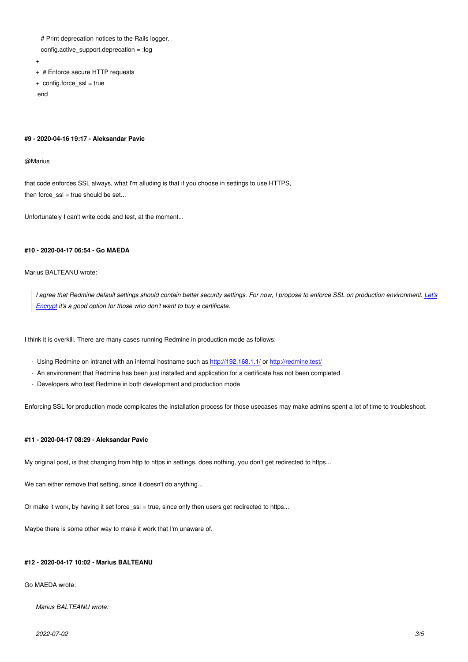- $#$  Print deprecation notices to the Figus logger.
- config.active\_support.deprecation = :log
- +
- + # Enforce secure HTTP requests
- + config.force\_ssl = true
- end

#### **#9 - 2020-04-16 19:17 - Aleksandar Pavic**

#### @Marius

that code enforces SSL always, what I'm alluding is that if you choose in settings to use HTTPS, then force\_ssl = true should be set...

Unfortunately I can't write code and test, at the moment...

#### **#10 - 2020-04-17 06:54 - Go MAEDA**

# Marius BALTEANU wrote:

*I agree that Redmine default settings should contain better security settings. For now, I propose to enforce SSL on production environment. Let's Encrypt it's a good option for those who don't want to buy a certificate.*

I thi[nk it is o](https://letsencrypt.org/)verkill. There are many cases running Redmine in production mode as follows:

- Using Redmine on intranet with an internal hostname such as http://192.168.1.1/ or http://redmine.test/
- An environment that Redmine has been just installed and application for a certificate has not been completed
- Developers who test Redmine in both development and production mode

Enforcing SSL for production mode complicates the installation pr[ocess for those use](http://192.168.1.1/)ca[ses may make adm](http://redmine.test/)ins spent a lot of time to troubleshoot.

#### **#11 - 2020-04-17 08:29 - Aleksandar Pavic**

My original post, is that changing from http to https in settings, does nothing, you don't get redirected to https...

We can either remove that setting, since it doesn't do anything...

Or make it work, by having it set force\_ssl = true, since only then users get redirected to https...

Maybe there is some other way to make it work that I'm unaware of.

#### **#12 - 2020-04-17 10:02 - Marius BALTEANU**

# Go MAEDA wrote:

*Marius BALTEANU wrote:*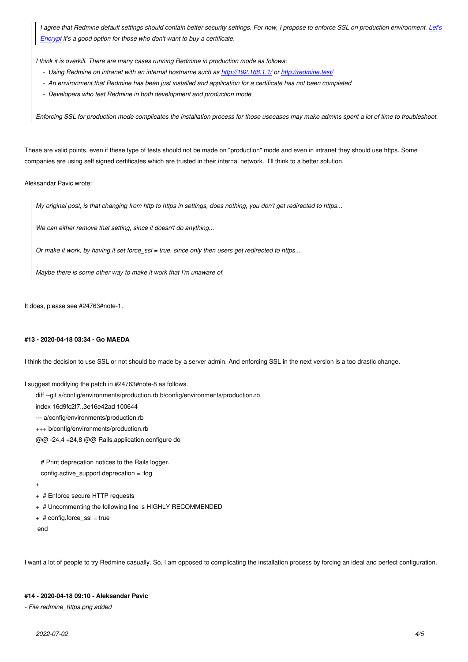*Encrypt it's a good option for those who don't want to buy a certificate.*

*I think it is overkill. There are many cases running Redmine in production mode as follows:*

- *Using Redmine on intranet with an internal hostname such as http://192.168.1.1/ or http://redmine.test/*
- *[An en](https://letsencrypt.org/)vironment that Redmine has been just installed and application for a certificate has not been completed*
- *Developers who test Redmine in both development and production mode*

*Enforcing SSL for production mode complicates the installation pr[ocess for those use](http://192.168.1.1/)ca[ses may make adm](http://redmine.test/)ins spent a lot of time to troubleshoot.*

These are valid points, even if these type of tests should not be made on "production" mode and even in intranet they should use https. Some companies are using self signed certificates which are trusted in their internal network. I'll think to a better solution.

Aleksandar Pavic wrote:

*My original post, is that changing from http to https in settings, does nothing, you don't get redirected to https...*

*We can either remove that setting, since it doesn't do anything...*

*Or make it work, by having it set force\_ssl = true, since only then users get redirected to https...*

*Maybe there is some other way to make it work that I'm unaware of.*

It does, please see #24763#note-1.

#### **#13 - 2020-04-18 03:34 - Go MAEDA**

I think the decision to use SSL or not should be made by a server admin. And enforcing SSL in the next version is a too drastic change.

I suggest modifying the patch in #24763#note-8 as follows.

diff --git a/config/environments/production.rb b/config/environments/production.rb

index 16d9fc2f7..3e16e42ad 100644

--- a/config/environments/production.rb

+++ b/config/environments/production.rb

@@ -24,4 +24,8 @@ Rails.application.configure do

# Print deprecation notices to the Rails logger.

- config.active\_support.deprecation = :log
- +
- + # Enforce secure HTTP requests
- + # Uncommenting the following line is HIGHLY RECOMMENDED
- + # config.force\_ssl = true
- end

I want a lot of people to try Redmine casually. So, I am opposed to complicating the installation process by forcing an ideal and perfect configuration.

### **#14 - 2020-04-18 09:10 - Aleksandar Pavic**

*- File redmine\_https.png added*